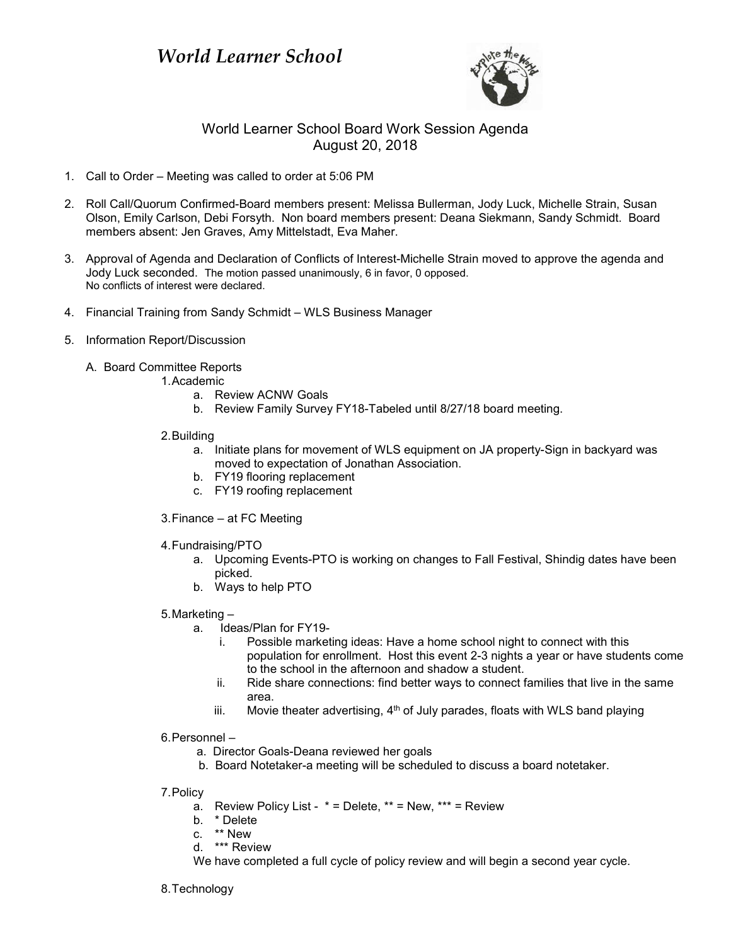

## World Learner School Board Work Session Agenda August 20, 2018

- 1. Call to Order Meeting was called to order at 5:06 PM
- 2. Roll Call/Quorum Confirmed-Board members present: Melissa Bullerman, Jody Luck, Michelle Strain, Susan Olson, Emily Carlson, Debi Forsyth. Non board members present: Deana Siekmann, Sandy Schmidt. Board members absent: Jen Graves, Amy Mittelstadt, Eva Maher.
- 3. Approval of Agenda and Declaration of Conflicts of Interest-Michelle Strain moved to approve the agenda and Jody Luck seconded. The motion passed unanimously, 6 in favor, 0 opposed. No conflicts of interest were declared.
- 4. Financial Training from Sandy Schmidt WLS Business Manager
- 5. Information Report/Discussion
	- A. Board Committee Reports
		- 1.Academic
			- a. Review ACNW Goals
			- b. Review Family Survey FY18-Tabeled until 8/27/18 board meeting.
		- 2.Building
			- a. Initiate plans for movement of WLS equipment on JA property-Sign in backyard was moved to expectation of Jonathan Association.
			- b. FY19 flooring replacement
			- c. FY19 roofing replacement
		- 3.Finance at FC Meeting
		- 4.Fundraising/PTO
			- a. Upcoming Events-PTO is working on changes to Fall Festival, Shindig dates have been picked.
			- b. Ways to help PTO
		- 5.Marketing
			- a. Ideas/Plan for FY19
				- i. Possible marketing ideas: Have a home school night to connect with this population for enrollment. Host this event 2-3 nights a year or have students come to the school in the afternoon and shadow a student.
				- ii. Ride share connections: find better ways to connect families that live in the same area.
				- iii. Movie theater advertising,  $4<sup>th</sup>$  of July parades, floats with WLS band playing
		- 6.Personnel
			- a. Director Goals-Deana reviewed her goals
			- b. Board Notetaker-a meeting will be scheduled to discuss a board notetaker.
		- 7.Policy
			- a. Review Policy List  $* =$  Delete,  $** =$  New,  $*** =$  Review
			- b. \* Delete
			- c. \*\* New
			- d. \*\*\* Review
			- We have completed a full cycle of policy review and will begin a second year cycle.
		- 8.Technology